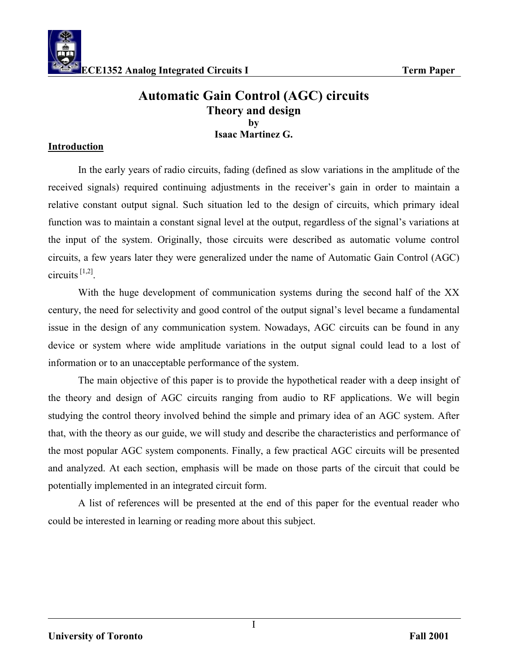

# **Automatic Gain Control (AGC) circuits Theory and design by Isaac Martinez G.**

### **Introduction**

 In the early years of radio circuits, fading (defined as slow variations in the amplitude of the received signals) required continuing adjustments in the receiver's gain in order to maintain a relative constant output signal. Such situation led to the design of circuits, which primary ideal function was to maintain a constant signal level at the output, regardless of the signal's variations at the input of the system. Originally, those circuits were described as automatic volume control circuits, a few years later they were generalized under the name of Automatic Gain Control (AGC) circuits  $[1,2]$ .

 With the huge development of communication systems during the second half of the XX century, the need for selectivity and good control of the output signal's level became a fundamental issue in the design of any communication system. Nowadays, AGC circuits can be found in any device or system where wide amplitude variations in the output signal could lead to a lost of information or to an unacceptable performance of the system.

 The main objective of this paper is to provide the hypothetical reader with a deep insight of the theory and design of AGC circuits ranging from audio to RF applications. We will begin studying the control theory involved behind the simple and primary idea of an AGC system. After that, with the theory as our guide, we will study and describe the characteristics and performance of the most popular AGC system components. Finally, a few practical AGC circuits will be presented and analyzed. At each section, emphasis will be made on those parts of the circuit that could be potentially implemented in an integrated circuit form.

 A list of references will be presented at the end of this paper for the eventual reader who could be interested in learning or reading more about this subject.

I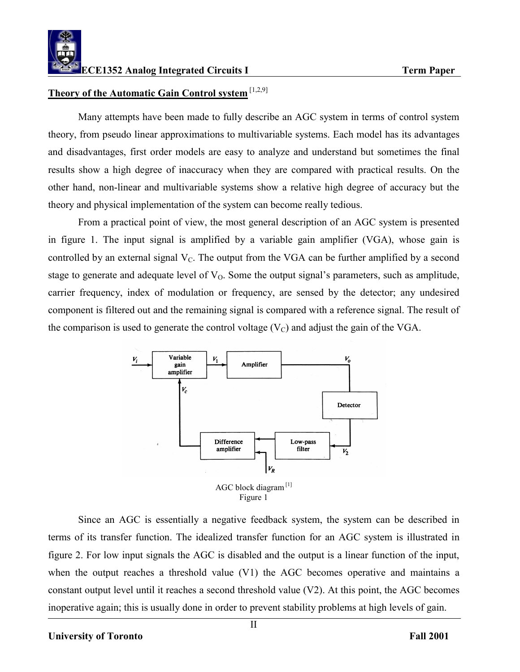

### **Theory of the Automatic Gain Control system** [1,2,9]

 Many attempts have been made to fully describe an AGC system in terms of control system theory, from pseudo linear approximations to multivariable systems. Each model has its advantages and disadvantages, first order models are easy to analyze and understand but sometimes the final results show a high degree of inaccuracy when they are compared with practical results. On the other hand, non-linear and multivariable systems show a relative high degree of accuracy but the theory and physical implementation of the system can become really tedious.

 From a practical point of view, the most general description of an AGC system is presented in figure 1. The input signal is amplified by a variable gain amplifier (VGA), whose gain is controlled by an external signal  $V_c$ . The output from the VGA can be further amplified by a second stage to generate and adequate level of  $V<sub>0</sub>$ . Some the output signal's parameters, such as amplitude, carrier frequency, index of modulation or frequency, are sensed by the detector; any undesired component is filtered out and the remaining signal is compared with a reference signal. The result of the comparison is used to generate the control voltage  $(V_C)$  and adjust the gain of the VGA.



 Since an AGC is essentially a negative feedback system, the system can be described in terms of its transfer function. The idealized transfer function for an AGC system is illustrated in figure 2. For low input signals the AGC is disabled and the output is a linear function of the input, when the output reaches a threshold value (V1) the AGC becomes operative and maintains a constant output level until it reaches a second threshold value (V2). At this point, the AGC becomes inoperative again; this is usually done in order to prevent stability problems at high levels of gain.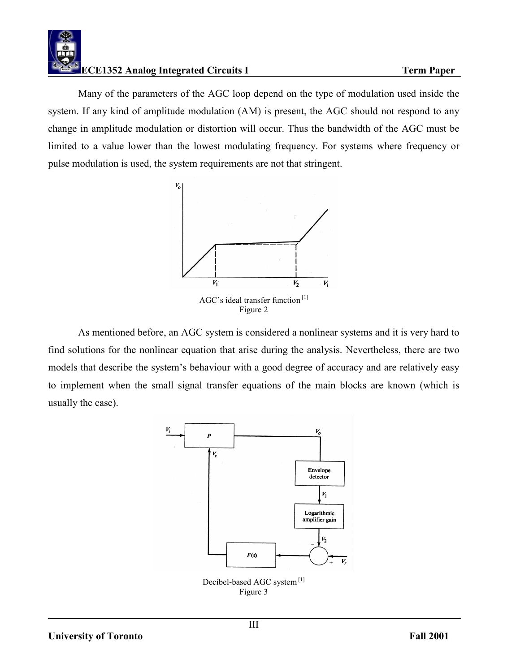

 Many of the parameters of the AGC loop depend on the type of modulation used inside the system. If any kind of amplitude modulation (AM) is present, the AGC should not respond to any change in amplitude modulation or distortion will occur. Thus the bandwidth of the AGC must be limited to a value lower than the lowest modulating frequency. For systems where frequency or pulse modulation is used, the system requirements are not that stringent.



 As mentioned before, an AGC system is considered a nonlinear systems and it is very hard to find solutions for the nonlinear equation that arise during the analysis. Nevertheless, there are two models that describe the system's behaviour with a good degree of accuracy and are relatively easy to implement when the small signal transfer equations of the main blocks are known (which is usually the case).

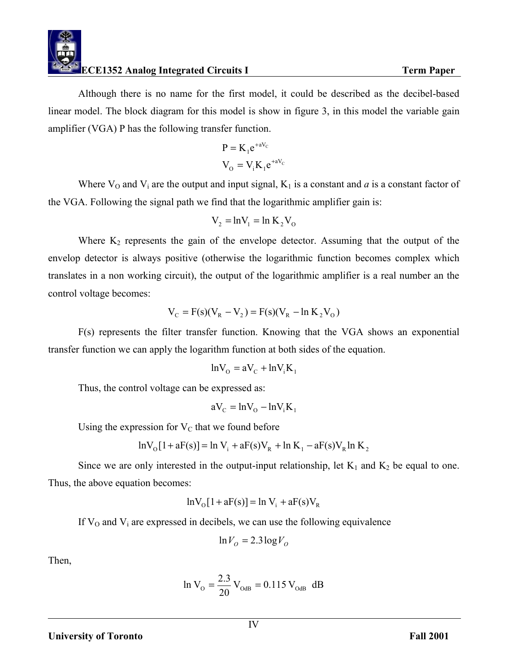

 Although there is no name for the first model, it could be described as the decibel-based linear model. The block diagram for this model is show in figure 3, in this model the variable gain amplifier (VGA) P has the following transfer function.

$$
P = K_1 e^{+aV_C}
$$

$$
V_O = V_i K_1 e^{+aV_C}
$$

Where  $V_0$  and  $V_i$  are the output and input signal,  $K_1$  is a constant and *a* is a constant factor of the VGA. Following the signal path we find that the logarithmic amplifier gain is:

$$
V_2 = \ln V_1 = \ln K_2 V_0
$$

Where  $K_2$  represents the gain of the envelope detector. Assuming that the output of the envelop detector is always positive (otherwise the logarithmic function becomes complex which translates in a non working circuit), the output of the logarithmic amplifier is a real number an the control voltage becomes:

$$
V_C = F(s)(V_R - V_2) = F(s)(V_R - \ln K_2 V_0)
$$

 F(s) represents the filter transfer function. Knowing that the VGA shows an exponential transfer function we can apply the logarithm function at both sides of the equation.

$$
ln V_{O} = aV_{C} + ln V_{i}K_{1}
$$

Thus, the control voltage can be expressed as:

$$
aV_{C} = \ln V_{O} - \ln V_{i}K_{1}
$$

Using the expression for  $V<sub>C</sub>$  that we found before

$$
ln V_{O}[1 + aF(s)] = ln V_{i} + aF(s)V_{R} + ln K_{1} - aF(s)V_{R}ln K_{2}
$$

Since we are only interested in the output-input relationship, let  $K_1$  and  $K_2$  be equal to one. Thus, the above equation becomes:

$$
ln V_{\rm O}[1 + aF(s)] = ln V_{\rm i} + aF(s)V_{\rm R}
$$

If  $V_0$  and  $V_i$  are expressed in decibels, we can use the following equivalence

$$
\ln V_O = 2.3 \log V_O
$$

Then,

$$
\ln V_{\rm O} = \frac{2.3}{20} V_{\rm OdB} = 0.115 V_{\rm OdB} \, \text{dB}
$$

### **University of Toronto** Fall 2001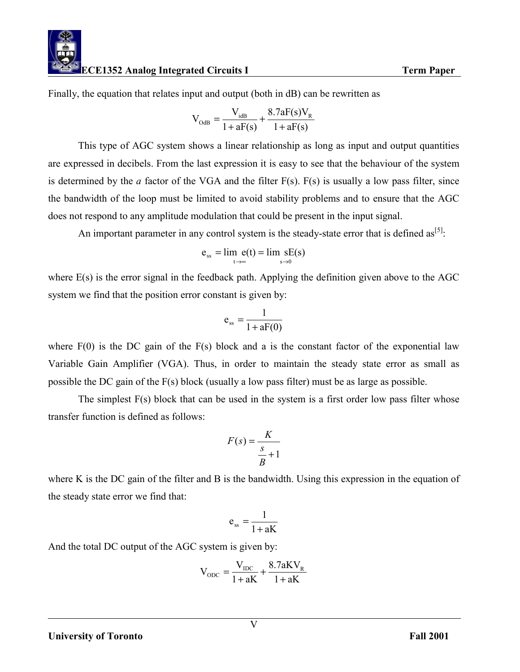Finally, the equation that relates input and output (both in dB) can be rewritten as

$$
V_{\text{OdB}} = \frac{V_{\text{idB}}}{1 + aF(s)} + \frac{8.7aF(s)V_{R}}{1 + aF(s)}
$$

 This type of AGC system shows a linear relationship as long as input and output quantities are expressed in decibels. From the last expression it is easy to see that the behaviour of the system is determined by the *a* factor of the VGA and the filter  $F(s)$ .  $F(s)$  is usually a low pass filter, since the bandwidth of the loop must be limited to avoid stability problems and to ensure that the AGC does not respond to any amplitude modulation that could be present in the input signal.

An important parameter in any control system is the steady-state error that is defined as<sup>[5]</sup>:

$$
e_{ss} = \lim_{t \to \infty} e(t) = \lim_{s \to 0} sE(s)
$$

where E(s) is the error signal in the feedback path. Applying the definition given above to the AGC system we find that the position error constant is given by:

$$
e_{ss} = \frac{1}{1 + aF(0)}
$$

where  $F(0)$  is the DC gain of the  $F(s)$  block and a is the constant factor of the exponential law Variable Gain Amplifier (VGA). Thus, in order to maintain the steady state error as small as possible the DC gain of the F(s) block (usually a low pass filter) must be as large as possible.

 The simplest F(s) block that can be used in the system is a first order low pass filter whose transfer function is defined as follows:

$$
F(s) = \frac{K}{\frac{s}{B} + 1}
$$

where K is the DC gain of the filter and B is the bandwidth. Using this expression in the equation of the steady state error we find that:

$$
e_{ss} = \frac{1}{1 + aK}
$$

And the total DC output of the AGC system is given by:

$$
V_{\text{ODC}} = \frac{V_{\text{IDC}}}{1 + aK} + \frac{8.7aKV_{\text{R}}}{1 + aK}
$$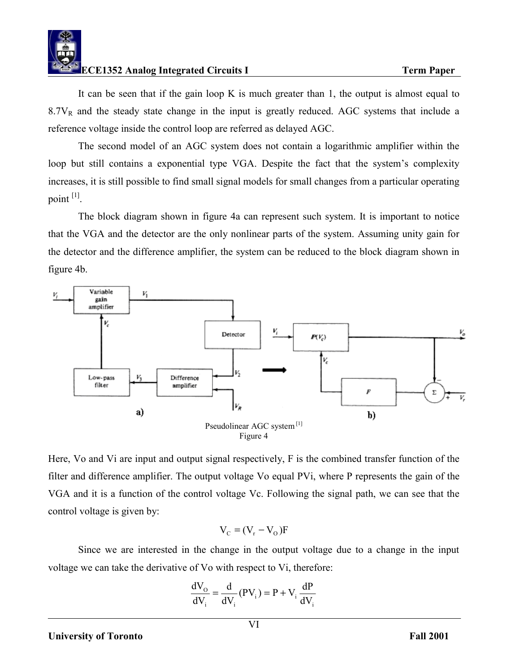

 It can be seen that if the gain loop K is much greater than 1, the output is almost equal to  $8.7V<sub>R</sub>$  and the steady state change in the input is greatly reduced. AGC systems that include a reference voltage inside the control loop are referred as delayed AGC.

 The second model of an AGC system does not contain a logarithmic amplifier within the loop but still contains a exponential type VGA. Despite the fact that the system's complexity increases, it is still possible to find small signal models for small changes from a particular operating point [1].

 The block diagram shown in figure 4a can represent such system. It is important to notice that the VGA and the detector are the only nonlinear parts of the system. Assuming unity gain for the detector and the difference amplifier, the system can be reduced to the block diagram shown in figure 4b.



Here, Vo and Vi are input and output signal respectively, F is the combined transfer function of the filter and difference amplifier. The output voltage Vo equal PVi, where P represents the gain of the VGA and it is a function of the control voltage Vc. Following the signal path, we can see that the control voltage is given by:

$$
V_c = (V_r - V_o)F
$$

 Since we are interested in the change in the output voltage due to a change in the input voltage we can take the derivative of Vo with respect to Vi, therefore:

$$
\frac{dV_{\rm o}}{dV_{\rm i}} = \frac{d}{dV_{\rm i}}(PV_{\rm i}) = P + V_{\rm i}\frac{dP}{dV_{\rm i}}
$$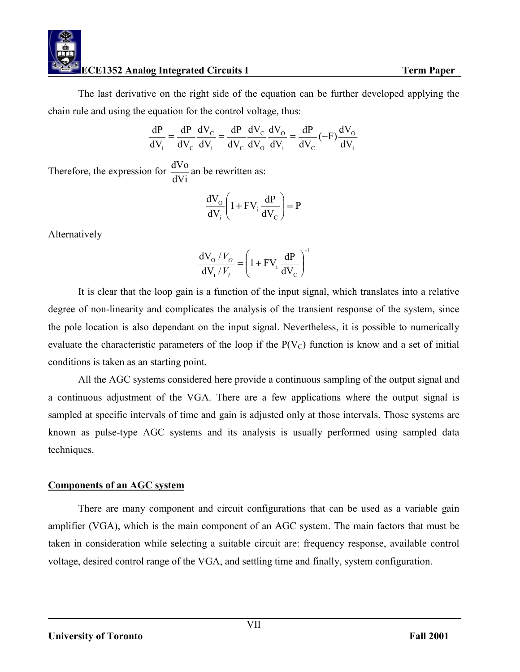The last derivative on the right side of the equation can be further developed applying the chain rule and using the equation for the control voltage, thus:

$$
\frac{dP}{dV_i} = \frac{dP}{dV_c} \frac{dV_c}{dV_i} = \frac{dP}{dV_c} \frac{dV_c}{dV_o} \frac{dV_o}{dV_i} = \frac{dP}{dV_c} (-F) \frac{dV_o}{dV_i}
$$

Therefore, the expression for  $\frac{dV_0}{dV_i}$  an be rewritten as:

$$
\frac{dV_{\rm O}}{dV_{\rm i}} \left(1 + FV_{\rm i} \frac{dP}{dV_{\rm C}}\right) = P
$$

Alternatively

$$
\frac{dV_0/V_o}{dV_i/V_i} = \left(1 + FV_i \frac{dP}{dV_c}\right)^{-1}
$$

 It is clear that the loop gain is a function of the input signal, which translates into a relative degree of non-linearity and complicates the analysis of the transient response of the system, since the pole location is also dependant on the input signal. Nevertheless, it is possible to numerically evaluate the characteristic parameters of the loop if the  $P(V_C)$  function is know and a set of initial conditions is taken as an starting point.

 All the AGC systems considered here provide a continuous sampling of the output signal and a continuous adjustment of the VGA. There are a few applications where the output signal is sampled at specific intervals of time and gain is adjusted only at those intervals. Those systems are known as pulse-type AGC systems and its analysis is usually performed using sampled data techniques.

### **Components of an AGC system**

 There are many component and circuit configurations that can be used as a variable gain amplifier (VGA), which is the main component of an AGC system. The main factors that must be taken in consideration while selecting a suitable circuit are: frequency response, available control voltage, desired control range of the VGA, and settling time and finally, system configuration.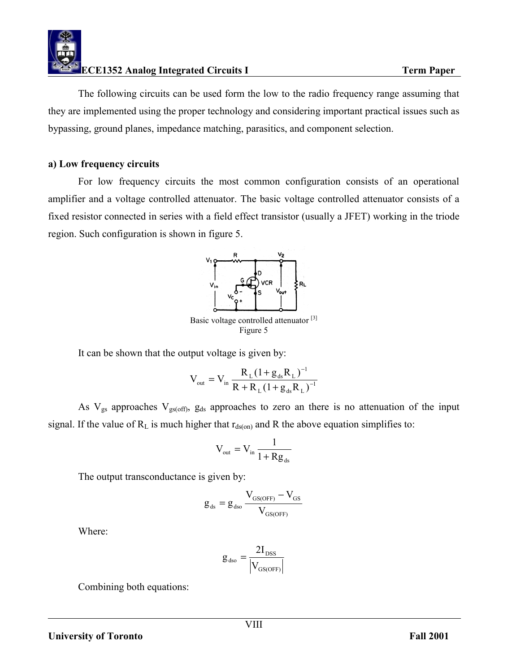

 The following circuits can be used form the low to the radio frequency range assuming that they are implemented using the proper technology and considering important practical issues such as bypassing, ground planes, impedance matching, parasitics, and component selection.

#### **a) Low frequency circuits**

 For low frequency circuits the most common configuration consists of an operational amplifier and a voltage controlled attenuator. The basic voltage controlled attenuator consists of a fixed resistor connected in series with a field effect transistor (usually a JFET) working in the triode region. Such configuration is shown in figure 5.



It can be shown that the output voltage is given by:

$$
V_{out} = V_{in} \frac{R_{L} (1 + g_{ds} R_{L})^{-1}}{R + R_{L} (1 + g_{ds} R_{L})^{-1}}
$$

As  $V_{gs}$  approaches  $V_{gs(off)}$ ,  $g_{ds}$  approaches to zero an there is no attenuation of the input signal. If the value of  $R_L$  is much higher that  $r_{ds(0n)}$  and R the above equation simplifies to:

$$
V_{\text{out}} = V_{\text{in}} \frac{1}{1 + Rg_{\text{ds}}}
$$

The output transconductance is given by:

$$
g_{\rm ds}=g_{\rm dso}\frac{V_{\rm{GS(OFF)}}-V_{\rm{GS}}}{V_{\rm{GS(OFF)}}}
$$

Where:

$$
g_{\rm dso} = \frac{2I_{\rm DSS}}{\left|V_{\rm GS(OFF)}\right|}
$$

Combining both equations: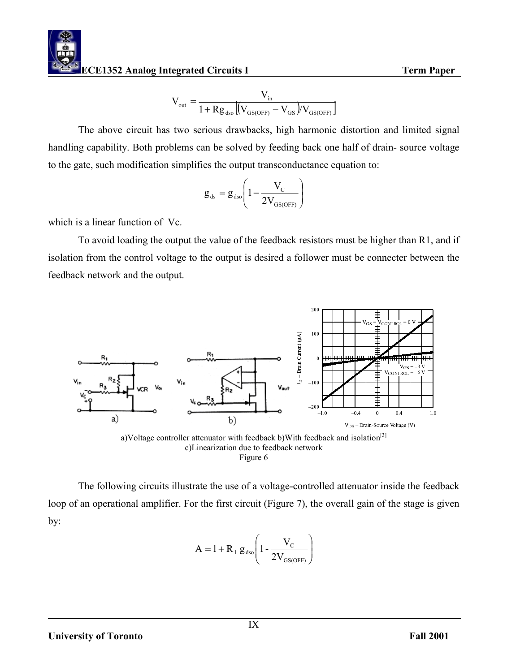$$
V_{\text{out}} = \frac{V_{\text{in}}}{1 + R g_{\text{dso}} \left[ \left( V_{\text{GS(OFF)}} - V_{\text{GS}} \right) / V_{\text{GS(OFF)}} \right]}
$$

 The above circuit has two serious drawbacks, high harmonic distortion and limited signal handling capability. Both problems can be solved by feeding back one half of drain- source voltage to the gate, such modification simplifies the output transconductance equation to:

$$
g_{ds}=g_{dso}\Bigg(1-\frac{V_{C}}{2V_{GS(OFF)}}\Bigg)
$$

which is a linear function of Vc.

 To avoid loading the output the value of the feedback resistors must be higher than R1, and if isolation from the control voltage to the output is desired a follower must be connecter between the feedback network and the output.



a)Voltage controller attenuator with feedback b)With feedback and isolation<sup>[3]</sup> c)Linearization due to feedback network Figure 6

 The following circuits illustrate the use of a voltage-controlled attenuator inside the feedback loop of an operational amplifier. For the first circuit (Figure 7), the overall gain of the stage is given by:

$$
A = 1 + R_1 g_{dso} \left( 1 - \frac{V_C}{2V_{GS(OFF)}} \right)
$$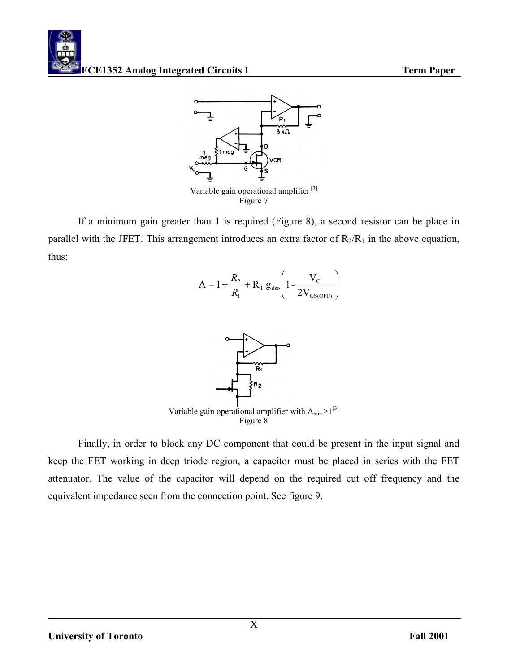

If a minimum gain greater than 1 is required (Figure 8), a second resistor can be place in parallel with the JFET. This arrangement introduces an extra factor of  $R_2/R_1$  in the above equation, thus:

$$
A = 1 + \frac{R_2}{R_1} + R_1 g_{dso} \left( 1 - \frac{V_C}{2V_{GS(OFF)}} \right)
$$



 Finally, in order to block any DC component that could be present in the input signal and keep the FET working in deep triode region, a capacitor must be placed in series with the FET attenuator. The value of the capacitor will depend on the required cut off frequency and the equivalent impedance seen from the connection point. See figure 9.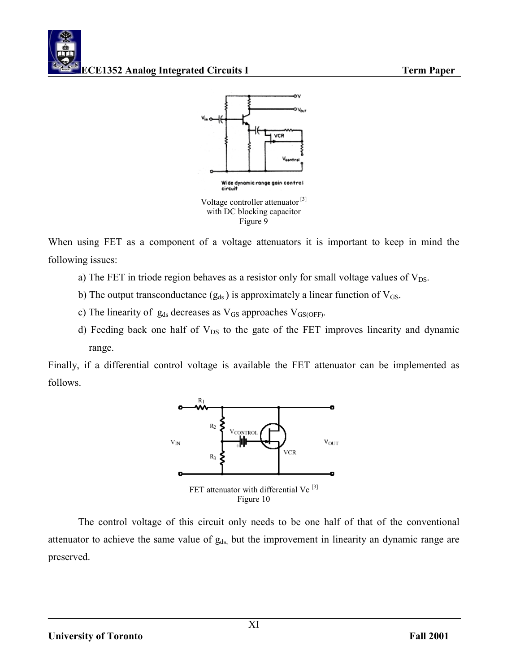



When using FET as a component of a voltage attenuators it is important to keep in mind the following issues:

- a) The FET in triode region behaves as a resistor only for small voltage values of  $V_{DS}$ .
- b) The output transconductance  $(g_{ds})$  is approximately a linear function of  $V_{GS}$ .
- c) The linearity of  $g_{ds}$  decreases as  $V_{GS}$  approaches  $V_{GS(OFF)}$ .
- d) Feeding back one half of  $V_{DS}$  to the gate of the FET improves linearity and dynamic range.

Finally, if a differential control voltage is available the FET attenuator can be implemented as follows.



The control voltage of this circuit only needs to be one half of that of the conventional attenuator to achieve the same value of  $g_{ds}$ , but the improvement in linearity an dynamic range are preserved.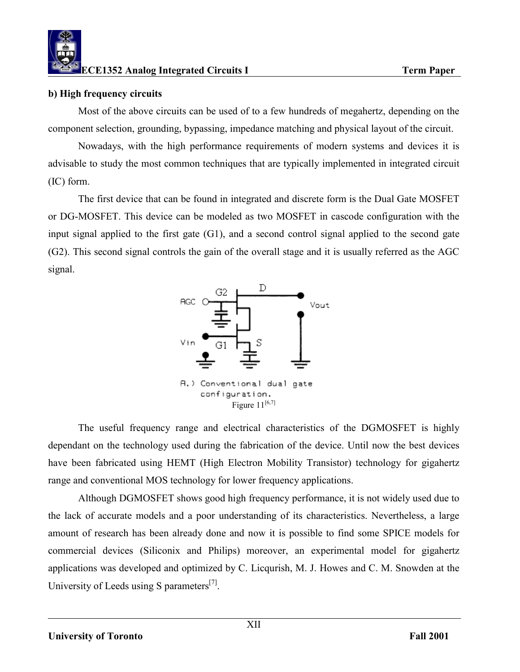### **b) High frequency circuits**

 Most of the above circuits can be used of to a few hundreds of megahertz, depending on the component selection, grounding, bypassing, impedance matching and physical layout of the circuit.

 Nowadays, with the high performance requirements of modern systems and devices it is advisable to study the most common techniques that are typically implemented in integrated circuit (IC) form.

 The first device that can be found in integrated and discrete form is the Dual Gate MOSFET or DG-MOSFET. This device can be modeled as two MOSFET in cascode configuration with the input signal applied to the first gate (G1), and a second control signal applied to the second gate (G2). This second signal controls the gain of the overall stage and it is usually referred as the AGC signal.



 The useful frequency range and electrical characteristics of the DGMOSFET is highly dependant on the technology used during the fabrication of the device. Until now the best devices have been fabricated using HEMT (High Electron Mobility Transistor) technology for gigahertz range and conventional MOS technology for lower frequency applications.

 Although DGMOSFET shows good high frequency performance, it is not widely used due to the lack of accurate models and a poor understanding of its characteristics. Nevertheless, a large amount of research has been already done and now it is possible to find some SPICE models for commercial devices (Siliconix and Philips) moreover, an experimental model for gigahertz applications was developed and optimized by C. Licqurish, M. J. Howes and C. M. Snowden at the University of Leeds using S parameters<sup>[7]</sup>.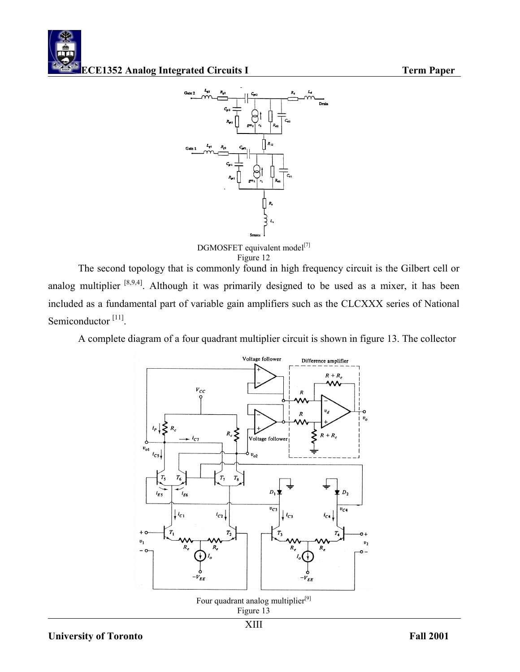



DGMOSFET equivalent model<sup>[7]</sup> Figure 12

 The second topology that is commonly found in high frequency circuit is the Gilbert cell or analog multiplier <sup>[8,9,4]</sup>. Although it was primarily designed to be used as a mixer, it has been included as a fundamental part of variable gain amplifiers such as the CLCXXX series of National Semiconductor<sup>[11]</sup>.

A complete diagram of a four quadrant multiplier circuit is shown in figure 13. The collector

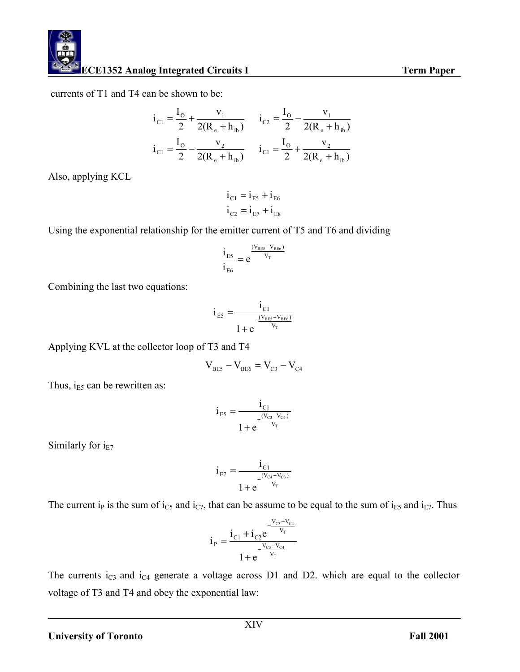currents of T1 and T4 can be shown to be:

$$
i_{C1} = \frac{I_o}{2} + \frac{v_1}{2(R_e + h_{ib})} \qquad i_{C2} = \frac{I_o}{2} - \frac{v_1}{2(R_e + h_{ib})}
$$

$$
i_{C1} = \frac{I_o}{2} - \frac{v_2}{2(R_e + h_{ib})} \qquad i_{C1} = \frac{I_o}{2} + \frac{v_2}{2(R_e + h_{ib})}
$$

Also, applying KCL

$$
\begin{aligned}\ni_{C1} &= i_{E5} + i_{E6} \\
i_{C2} &= i_{E7} + i_{E8}\n\end{aligned}
$$

Using the exponential relationship for the emitter current of T5 and T6 and dividing

$$
\frac{i_{\text{ES}}}{i_{\text{E6}}} = e^{\frac{(V_{\text{BES}} - V_{\text{BES}})}{V_{\text{T}}}}
$$

Combining the last two equations:

$$
i_{\text{E5}} = \frac{i_{\text{C1}}}{1 + e^{\frac{(V_{\text{BES}} - V_{\text{BES}})}{V_{\text{T}}}}}
$$

Applying KVL at the collector loop of T3 and T4

$$
\rm V_{\rm BE5}-V_{\rm BE6}=V_{\rm C3}-V_{\rm C4}
$$

Thus,  $i_{E5}$  can be rewritten as:

$$
i_{ES} = \frac{i_{C1}}{1 + e^{\frac{(V_{C3} - V_{C4})}{V_T}}}
$$

Similarly for  $i_{E7}$ 

$$
i_{E7} = \frac{i_{C1}}{1 + e^{\frac{(V_{C4} - V_{C3})}{V_T}}}
$$

The current i<sub>P</sub> is the sum of i<sub>C5</sub> and i<sub>C7</sub>, that can be assume to be equal to the sum of i<sub>E5</sub> and i<sub>E7</sub>. Thus

$$
i_{P} = \frac{i_{C1} + i_{C2}e^{\frac{-V_{C3} - V_{C4}}{V_{T}}}}{1 + e^{\frac{-V_{C3} - V_{C4}}{V_{T}}}}
$$

The currents  $i_{C3}$  and  $i_{C4}$  generate a voltage across D1 and D2. which are equal to the collector voltage of T3 and T4 and obey the exponential law: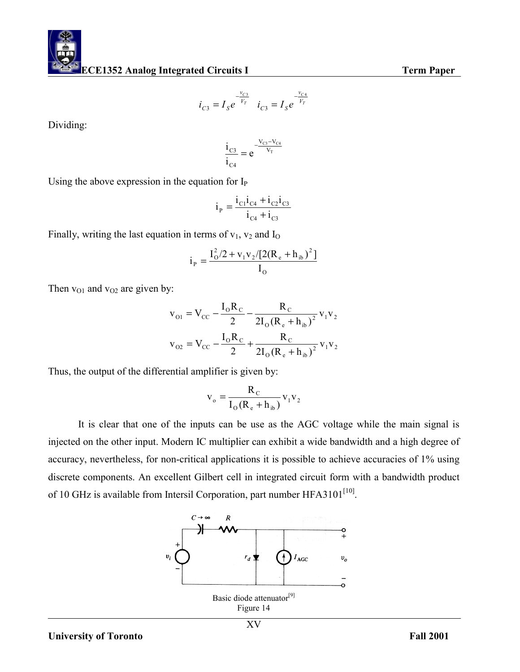$$
i_{C3} = I_S e^{-\frac{v_{C3}}{V_T}} \quad i_{C3} = I_S e^{-\frac{v_{C4}}{V_T}}
$$

Dividing:

$$
\frac{i_{C3}}{i_{C4}} = e^{-\frac{V_{C3} - V_{C4}}{V_T}}
$$

Using the above expression in the equation for  $I_{P}$ 

$$
i_{P} = \frac{i_{C1}i_{C4} + i_{C2}i_{C3}}{i_{C4} + i_{C3}}
$$

Finally, writing the last equation in terms of  $v_1$ ,  $v_2$  and  $I_0$ 

$$
i_{\rm p} = \frac{I_{\rm O}^2 / 2 + v_{\rm 1} v_{\rm 2} / [2 (R_{\rm e} + h_{\rm ib})^2]}{I_{\rm O}}
$$

Then  $v_{01}$  and  $v_{02}$  are given by:

$$
v_{01} = V_{CC} - \frac{I_0 R_C}{2} - \frac{R_C}{2I_0 (R_e + h_{ib})^2} v_1 v_2
$$
  

$$
v_{02} = V_{CC} - \frac{I_0 R_C}{2} + \frac{R_C}{2I_0 (R_e + h_{ib})^2} v_1 v_2
$$

Thus, the output of the differential amplifier is given by:

$$
v_o = \frac{R_c}{I_o (R_e + h_{ib})} v_1 v_2
$$

 It is clear that one of the inputs can be use as the AGC voltage while the main signal is injected on the other input. Modern IC multiplier can exhibit a wide bandwidth and a high degree of accuracy, nevertheless, for non-critical applications it is possible to achieve accuracies of 1% using discrete components. An excellent Gilbert cell in integrated circuit form with a bandwidth product of 10 GHz is available from Intersil Corporation, part number HFA3101<sup>[10]</sup>.

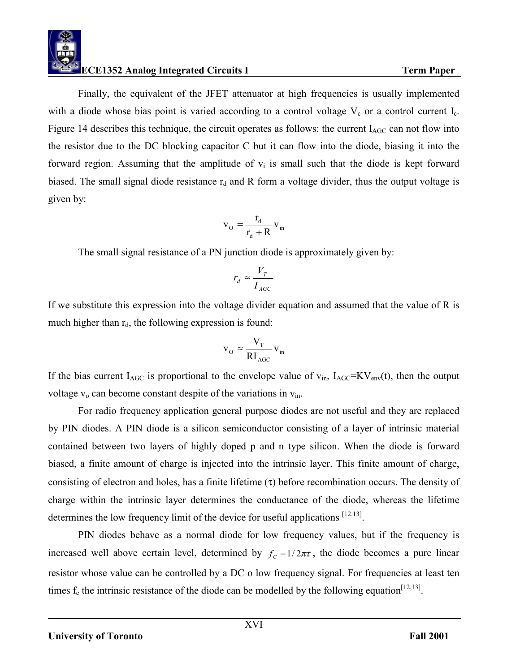Finally, the equivalent of the JFET attenuator at high frequencies is usually implemented with a diode whose bias point is varied according to a control voltage  $V_c$  or a control current  $I_c$ . Figure 14 describes this technique, the circuit operates as follows: the current  $I_{AGC}$  can not flow into the resistor due to the DC blocking capacitor C but it can flow into the diode, biasing it into the forward region. Assuming that the amplitude of  $v_i$  is small such that the diode is kept forward biased. The small signal diode resistance  $r_d$  and R form a voltage divider, thus the output voltage is given by:

$$
\mathbf{v}_{\rm O} = \frac{\mathbf{r}_{\rm d}}{\mathbf{r}_{\rm d} + \mathbf{R}} \mathbf{v}_{\rm in}
$$

The small signal resistance of a PN junction diode is approximately given by:

$$
r_d \approx \frac{V_T}{I_{AGC}}
$$

If we substitute this expression into the voltage divider equation and assumed that the value of R is much higher than  $r_d$ , the following expression is found:

$$
\mathbf{v}_{\rm O} \approx \frac{\mathbf{V}_{\rm T}}{\mathbf{R} \mathbf{I}_{\rm AGC}} \mathbf{v}_{\rm in}
$$

If the bias current  $I_{AGC}$  is proportional to the envelope value of  $v_{in}$ ,  $I_{AGC}=KV_{env}(t)$ , then the output voltage  $v_0$  can become constant despite of the variations in  $v_{in}$ .

 For radio frequency application general purpose diodes are not useful and they are replaced by PIN diodes. A PIN diode is a silicon semiconductor consisting of a layer of intrinsic material contained between two layers of highly doped p and n type silicon. When the diode is forward biased, a finite amount of charge is injected into the intrinsic layer. This finite amount of charge, consisting of electron and holes, has a finite lifetime  $(\tau)$  before recombination occurs. The density of charge within the intrinsic layer determines the conductance of the diode, whereas the lifetime determines the low frequency limit of the device for useful applications [12.13].

 PIN diodes behave as a normal diode for low frequency values, but if the frequency is increased well above certain level, determined by  $f_c =1/2\pi\tau$ , the diode becomes a pure linear resistor whose value can be controlled by a DC o low frequency signal. For frequencies at least ten times  $f_c$  the intrinsic resistance of the diode can be modelled by the following equation<sup>[12,13]</sup>.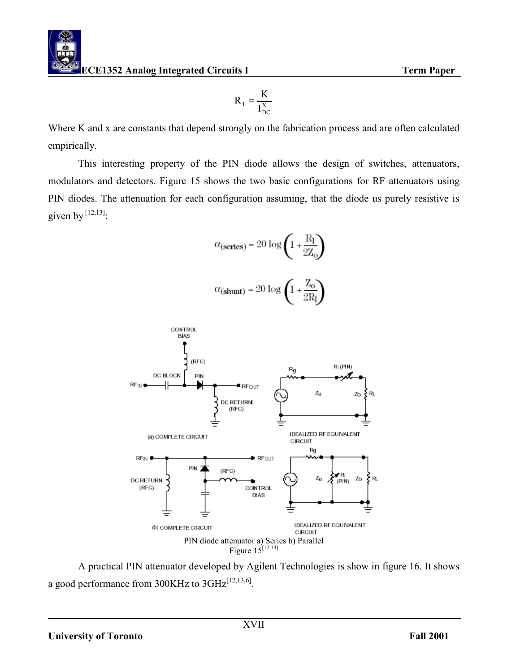$$
R_{I} = \frac{K}{I_{DC}^{X}}
$$

Where K and x are constants that depend strongly on the fabrication process and are often calculated empirically.

 This interesting property of the PIN diode allows the design of switches, attenuators, modulators and detectors. Figure 15 shows the two basic configurations for RF attenuators using PIN diodes. The attenuation for each configuration assuming, that the diode us purely resistive is given by  $[12,13]$ :

$$
\alpha_{(\text{series})} = 20 \log \left(1 + \frac{R_I}{2Z_0}\right)
$$

$$
\alpha_{\text{(shunt)}} = 20 \log \left( 1 + \frac{Z_o}{2R_J} \right)
$$



 A practical PIN attenuator developed by Agilent Technologies is show in figure 16. It shows a good performance from  $300KHz$  to  $3GHz^{[12,13,6]}$ .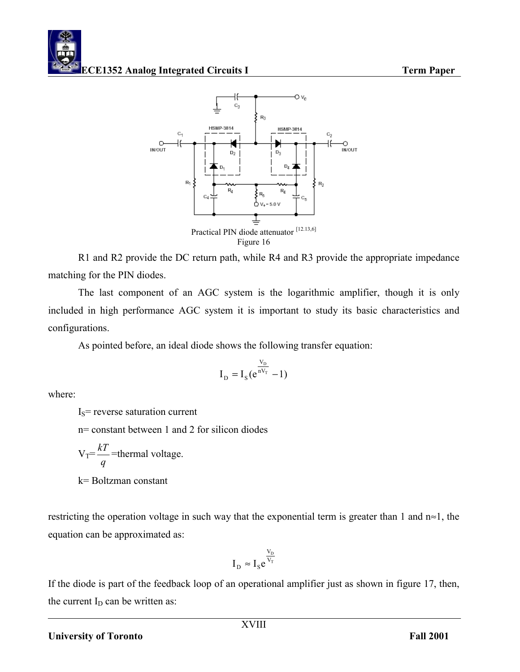

R1 and R2 provide the DC return path, while R4 and R3 provide the appropriate impedance matching for the PIN diodes.

 The last component of an AGC system is the logarithmic amplifier, though it is only included in high performance AGC system it is important to study its basic characteristics and configurations.

As pointed before, an ideal diode shows the following transfer equation:

$$
I_{D} = I_{S}(e^{\frac{V_{D}}{nV_{T}}} - 1)
$$

where:

 $I_s$ = reverse saturation current

n= constant between 1 and 2 for silicon diodes

$$
V_T = \frac{kT}{q}
$$
 =thermal voltage.  
k= Boltzman constant

restricting the operation voltage in such way that the exponential term is greater than 1 and n≈1, the equation can be approximated as:

$$
I_{D} \approx I_{S} e^{\frac{V_{D}}{V_{T}}}
$$

If the diode is part of the feedback loop of an operational amplifier just as shown in figure 17, then, the current  $I_D$  can be written as: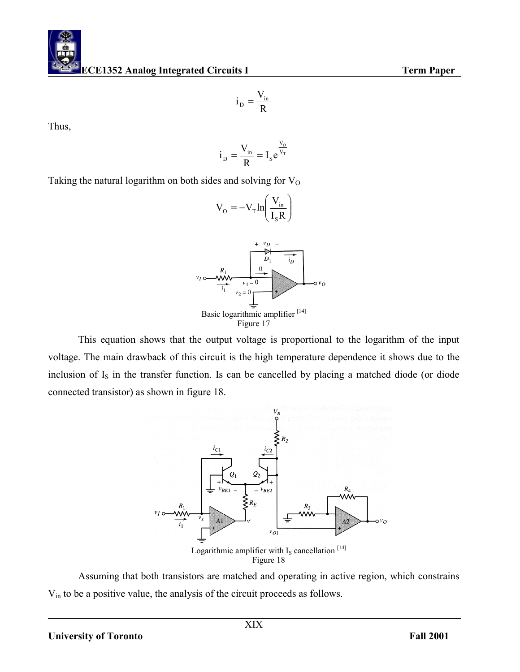Thus,

$$
i_{\rm D} = \frac{V_{\rm in}}{R} = I_{\rm S} e^{\frac{V_{\rm O}}{V_{\rm T}}}
$$

R  $i_{\rm D} = \frac{V_{\rm in}}{R}$ 

Taking the natural logarithm on both sides and solving for  $V<sub>O</sub>$ 



This equation shows that the output voltage is proportional to the logarithm of the input voltage. The main drawback of this circuit is the high temperature dependence it shows due to the inclusion of  $I<sub>S</sub>$  in the transfer function. Is can be cancelled by placing a matched diode (or diode connected transistor) as shown in figure 18.



Assuming that both transistors are matched and operating in active region, which constrains Vin to be a positive value, the analysis of the circuit proceeds as follows.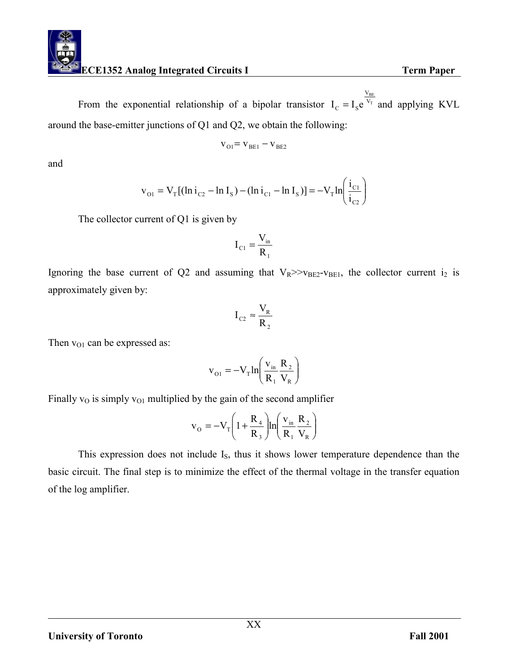From the exponential relationship of a bipolar transistor  $I_c = I_s e^{V_T}$  $\frac{\rm v_{BE}}{\rm V_{T}}$ V  $I_c = I_s e^{V_T}$  and applying KVL around the base-emitter junctions of Q1 and Q2, we obtain the following:

$$
\mathbf{v}_{\mathrm{O1}} = \mathbf{v}_{\mathrm{BE1}} - \mathbf{v}_{\mathrm{BE2}}
$$

and

$$
v_{01} = V_T [(ln i_{C2} - ln I_s) - (ln i_{C1} - ln I_s)] = -V_T ln \left( \frac{i_{C1}}{i_{C2}} \right)
$$

The collector current of Q1 is given by

$$
I_{C1} = \frac{V_{in}}{R_1}
$$

Ignoring the base current of Q2 and assuming that  $V_R \gg V_{BE2} - V_{BE1}$ , the collector current i<sub>2</sub> is approximately given by:

$$
I_{C2} \approx \frac{V_{R}}{R_{2}}
$$

Then  $v_{O1}$  can be expressed as:

$$
\mathbf{v}_{\text{O1}} = -\mathbf{V}_{\text{T}} \ln \left( \frac{\mathbf{v}_{\text{in}}}{\mathbf{R}_{1}} \frac{\mathbf{R}_{2}}{\mathbf{V}_{\text{R}}} \right)
$$

Finally  $v<sub>O</sub>$  is simply  $v<sub>O1</sub>$  multiplied by the gain of the second amplifier

$$
\mathbf{v}_{\rm O} = -\mathbf{V}_{\rm T} \left( 1 + \frac{\mathbf{R}_{\rm 4}}{\mathbf{R}_{\rm 3}} \right) \ln \left( \frac{\mathbf{v}_{\rm in}}{\mathbf{R}_{\rm 1}} \frac{\mathbf{R}_{\rm 2}}{\mathbf{V}_{\rm R}} \right)
$$

This expression does not include I<sub>S</sub>, thus it shows lower temperature dependence than the basic circuit. The final step is to minimize the effect of the thermal voltage in the transfer equation of the log amplifier.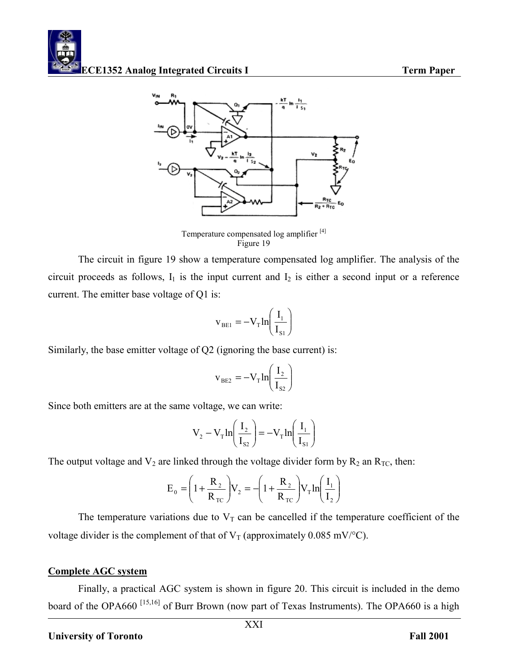

Temperature compensated log amplifier [4] Figure 19

 The circuit in figure 19 show a temperature compensated log amplifier. The analysis of the circuit proceeds as follows,  $I_1$  is the input current and  $I_2$  is either a second input or a reference current. The emitter base voltage of Q1 is:

$$
\mathbf{v}_{\text{BE1}} = -\mathbf{V}_{\text{T}} \ln \left( \frac{\mathbf{I}_{1}}{\mathbf{I}_{\text{S1}}} \right)
$$

Similarly, the base emitter voltage of Q2 (ignoring the base current) is:

$$
v_{BE2} = -V_T ln\left(\frac{I_2}{I_{S2}}\right)
$$

Since both emitters are at the same voltage, we can write:

$$
V_2 - V_T \ln\left(\frac{I_2}{I_{s2}}\right) = -V_T \ln\left(\frac{I_1}{I_{s1}}\right)
$$

The output voltage and  $V_2$  are linked through the voltage divider form by  $R_2$  an  $R_{TC}$ , then:

$$
E_0 = \left(1 + \frac{R_2}{R_{\text{TC}}}\right) V_2 = -\left(1 + \frac{R_2}{R_{\text{TC}}}\right) V_{\text{T}} \ln\left(\frac{I_1}{I_2}\right)
$$

The temperature variations due to  $V_T$  can be cancelled if the temperature coefficient of the voltage divider is the complement of that of  $V_T$  (approximately 0.085 mV/°C).

# **Complete AGC system**

Finally, a practical AGC system is shown in figure 20. This circuit is included in the demo board of the OPA660<sup>[15,16]</sup> of Burr Brown (now part of Texas Instruments). The OPA660 is a high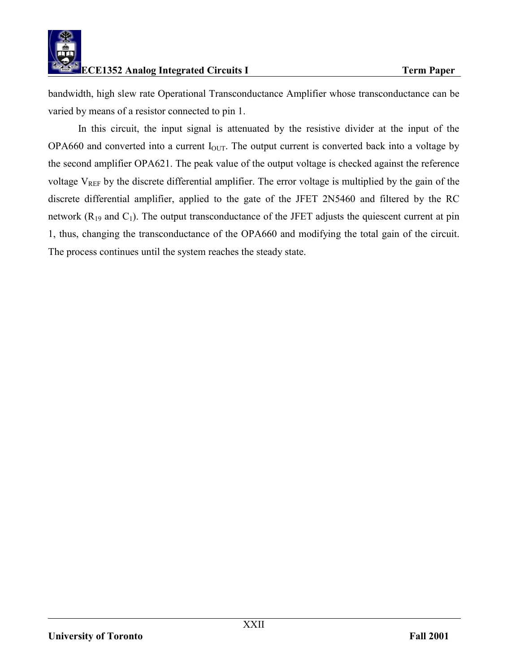

bandwidth, high slew rate Operational Transconductance Amplifier whose transconductance can be varied by means of a resistor connected to pin 1.

In this circuit, the input signal is attenuated by the resistive divider at the input of the OPA660 and converted into a current  $I_{\text{OUT}}$ . The output current is converted back into a voltage by the second amplifier OPA621. The peak value of the output voltage is checked against the reference voltage  $V_{REF}$  by the discrete differential amplifier. The error voltage is multiplied by the gain of the discrete differential amplifier, applied to the gate of the JFET 2N5460 and filtered by the RC network  $(R_{19}$  and  $C_1$ ). The output transconductance of the JFET adjusts the quiescent current at pin 1, thus, changing the transconductance of the OPA660 and modifying the total gain of the circuit. The process continues until the system reaches the steady state.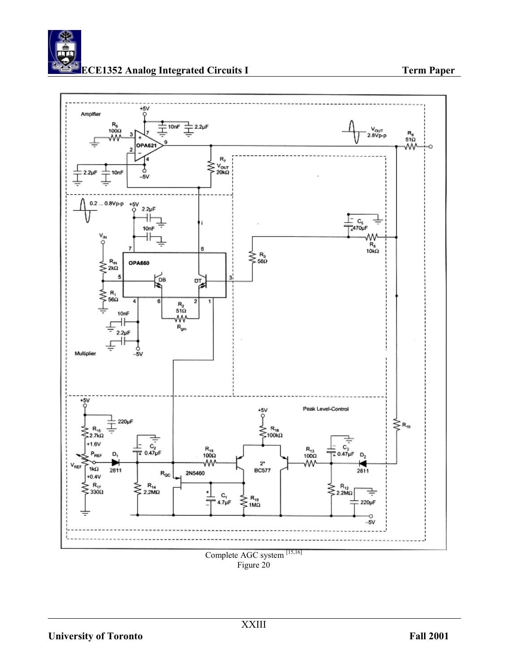

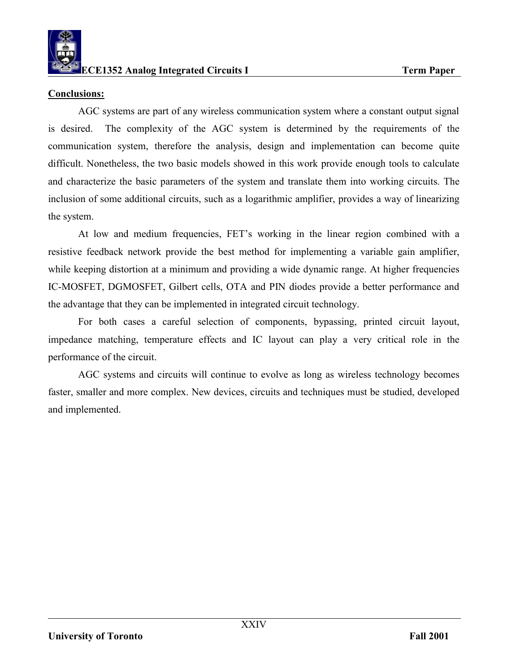

### **Conclusions:**

 AGC systems are part of any wireless communication system where a constant output signal is desired. The complexity of the AGC system is determined by the requirements of the communication system, therefore the analysis, design and implementation can become quite difficult. Nonetheless, the two basic models showed in this work provide enough tools to calculate and characterize the basic parameters of the system and translate them into working circuits. The inclusion of some additional circuits, such as a logarithmic amplifier, provides a way of linearizing the system.

 At low and medium frequencies, FET's working in the linear region combined with a resistive feedback network provide the best method for implementing a variable gain amplifier, while keeping distortion at a minimum and providing a wide dynamic range. At higher frequencies IC-MOSFET, DGMOSFET, Gilbert cells, OTA and PIN diodes provide a better performance and the advantage that they can be implemented in integrated circuit technology.

 For both cases a careful selection of components, bypassing, printed circuit layout, impedance matching, temperature effects and IC layout can play a very critical role in the performance of the circuit.

 AGC systems and circuits will continue to evolve as long as wireless technology becomes faster, smaller and more complex. New devices, circuits and techniques must be studied, developed and implemented.